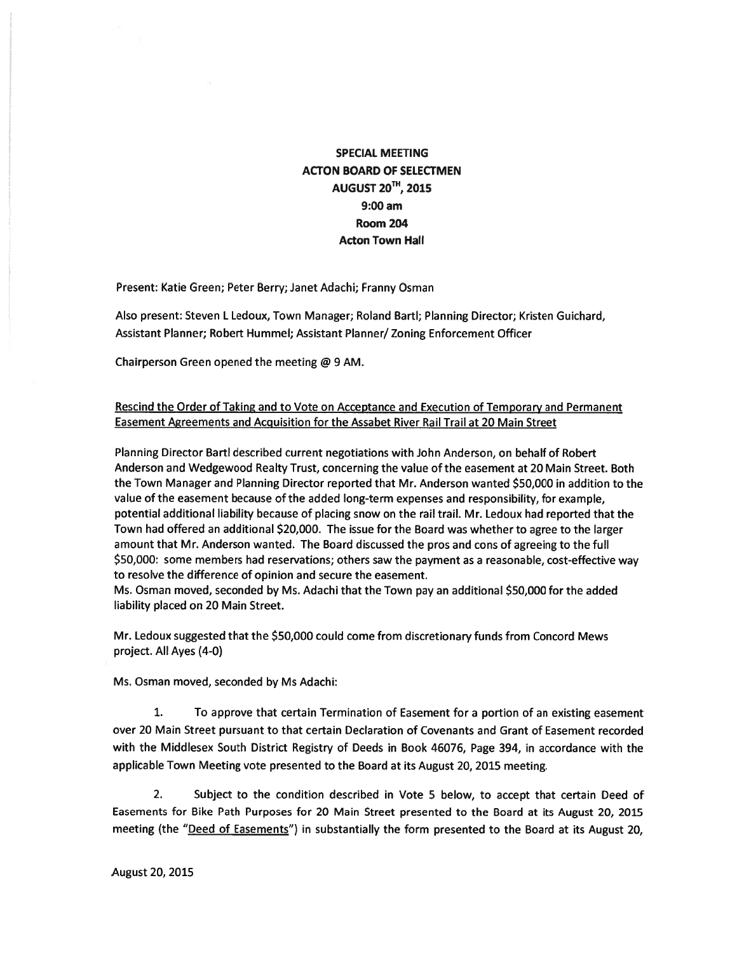## SPECIAL MEETING ACTON BOARD OF SELECTMEN **AUGUST 20<sup>TH</sup>, 2015** 9:00 am Room 204 Acton Town Hall

Present: Katie Green; Peter Berry; Janet Adachi; Franny Osman

Also present: Steven L Ledoux, Town Manager; Roland Bartl; Planning Director; Kristen Guichard, Assistant Planner; Robert Hummel; Assistant Planner/ Zoning Enforcement Officer

Chairperson Green opened the meeting @ 9 AM.

## Rescind the Order of Taking and to Vote on Acceptance and Execution of Temporary and Permanent Easement Agreements and Acquisition for the Assabet River Rail Trail at 20 Main Street

Planning Director Bartl described current negotiations with John Anderson, on behalf of Robert Anderson and Wedgewood Realty Trust, concerning the value of the easement at 20 Main Street. Both the Town Manager and Planning Director reported that Mr. Anderson wanted \$50,000 in addition to the value of the easement because of the added long-term expenses and responsibility, for example, potential additional liability because of placing snow on the rail trail. Mr. Ledoux had reported that the Town had offered an additional \$20,000. The issue for the Board was whether to agree to the larger amount that Mr. Anderson wanted. The Board discussed the pros and cons of agreeing to the full \$50,000: some members had reservations; others saw the paymen<sup>t</sup> as <sup>a</sup> reasonable, cost-effective way to resolve the difference of opinion and secure the easement.

Ms. Osman moved, seconded by Ms. Adachi that the Town pay an additional \$50,000 for the added liability placed on 20 Main Street.

Mr. Ledoux suggested that the \$50,000 could come from discretionary funds from Concord Mews project. All Ayes (4-0)

Ms. Osman moved, seconded by Ms Adachi:

1. To approve that certain Termination of Easement for <sup>a</sup> portion of an existing easement over 20 Main Street pursuan<sup>t</sup> to that certain Declaration of Covenants and Grant of Easement recorded with the Middlesex South District Registry of Deeds in Book 46076, Page 394, in accordance with the applicable Town Meeting vote presented to the Board at its August 20, 2015 meeting.

2. Subject to the condition described in Vote 5 below, to accep<sup>t</sup> that certain Deed of Easements for Bike Path Purposes for 20 Main Street presented to the Board at its August 20, 2015 meeting (the "Deed of Easements") in substantially the form presented to the Board at its August 20,